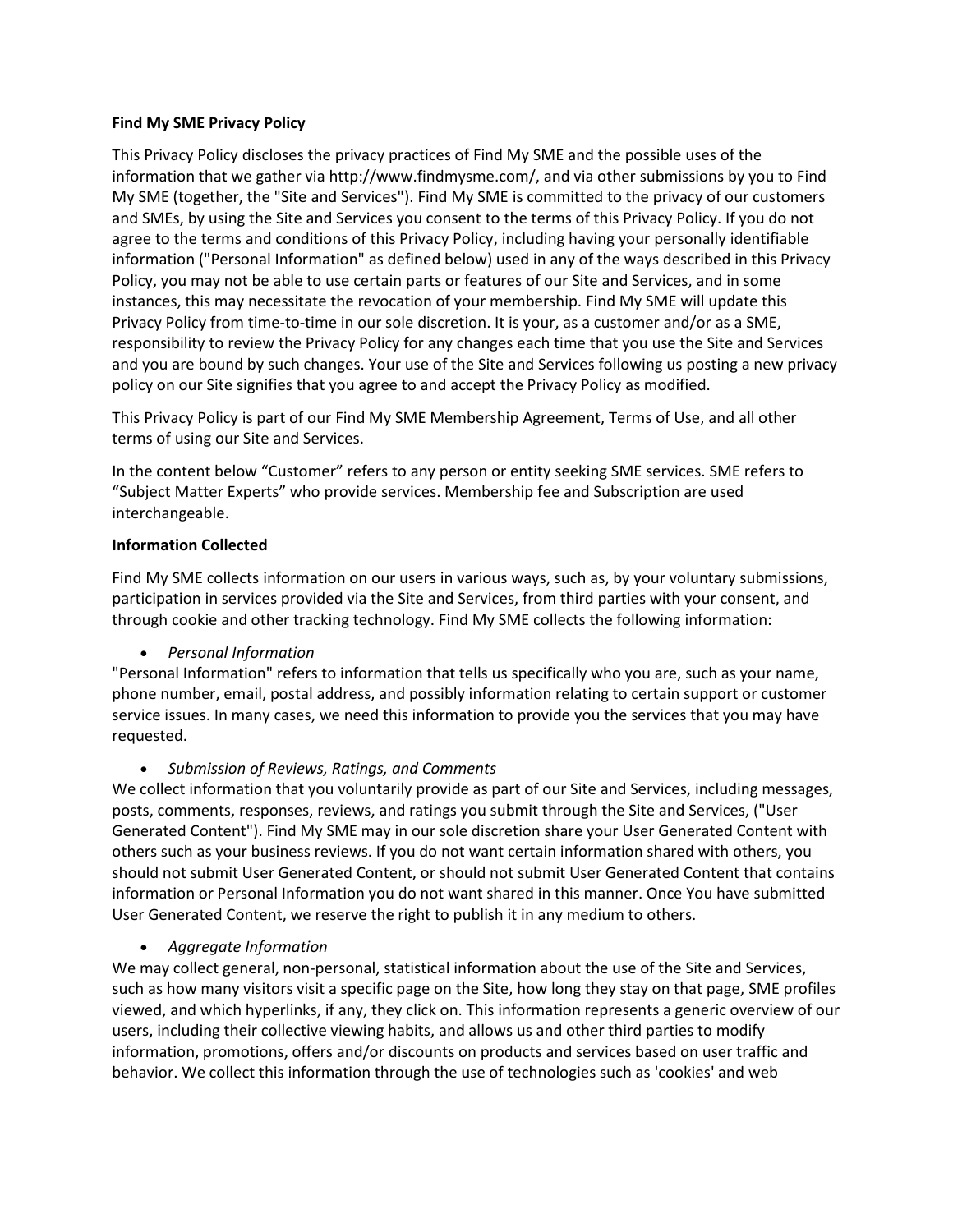## **Find My SME Privacy Policy**

This Privacy Policy discloses the privacy practices of Find My SME and the possible uses of the information that we gather via http://www.findmysme.com/, and via other submissions by you to Find My SME (together, the "Site and Services"). Find My SME is committed to the privacy of our customers and SMEs, by using the Site and Services you consent to the terms of this Privacy Policy. If you do not agree to the terms and conditions of this Privacy Policy, including having your personally identifiable information ("Personal Information" as defined below) used in any of the ways described in this Privacy Policy, you may not be able to use certain parts or features of our Site and Services, and in some instances, this may necessitate the revocation of your membership. Find My SME will update this Privacy Policy from time-to-time in our sole discretion. It is your, as a customer and/or as a SME, responsibility to review the Privacy Policy for any changes each time that you use the Site and Services and you are bound by such changes. Your use of the Site and Services following us posting a new privacy policy on our Site signifies that you agree to and accept the Privacy Policy as modified.

This Privacy Policy is part of our Find My SME Membership Agreement, Terms of Use, and all other terms of using our Site and Services.

In the content below "Customer" refers to any person or entity seeking SME services. SME refers to "Subject Matter Experts" who provide services. Membership fee and Subscription are used interchangeable.

### **Information Collected**

Find My SME collects information on our users in various ways, such as, by your voluntary submissions, participation in services provided via the Site and Services, from third parties with your consent, and through cookie and other tracking technology. Find My SME collects the following information:

• *Personal Information*

"Personal Information" refers to information that tells us specifically who you are, such as your name, phone number, email, postal address, and possibly information relating to certain support or customer service issues. In many cases, we need this information to provide you the services that you may have requested.

## • *Submission of Reviews, Ratings, and Comments*

We collect information that you voluntarily provide as part of our Site and Services, including messages, posts, comments, responses, reviews, and ratings you submit through the Site and Services, ("User Generated Content"). Find My SME may in our sole discretion share your User Generated Content with others such as your business reviews. If you do not want certain information shared with others, you should not submit User Generated Content, or should not submit User Generated Content that contains information or Personal Information you do not want shared in this manner. Once You have submitted User Generated Content, we reserve the right to publish it in any medium to others.

#### • *Aggregate Information*

We may collect general, non-personal, statistical information about the use of the Site and Services, such as how many visitors visit a specific page on the Site, how long they stay on that page, SME profiles viewed, and which hyperlinks, if any, they click on. This information represents a generic overview of our users, including their collective viewing habits, and allows us and other third parties to modify information, promotions, offers and/or discounts on products and services based on user traffic and behavior. We collect this information through the use of technologies such as 'cookies' and web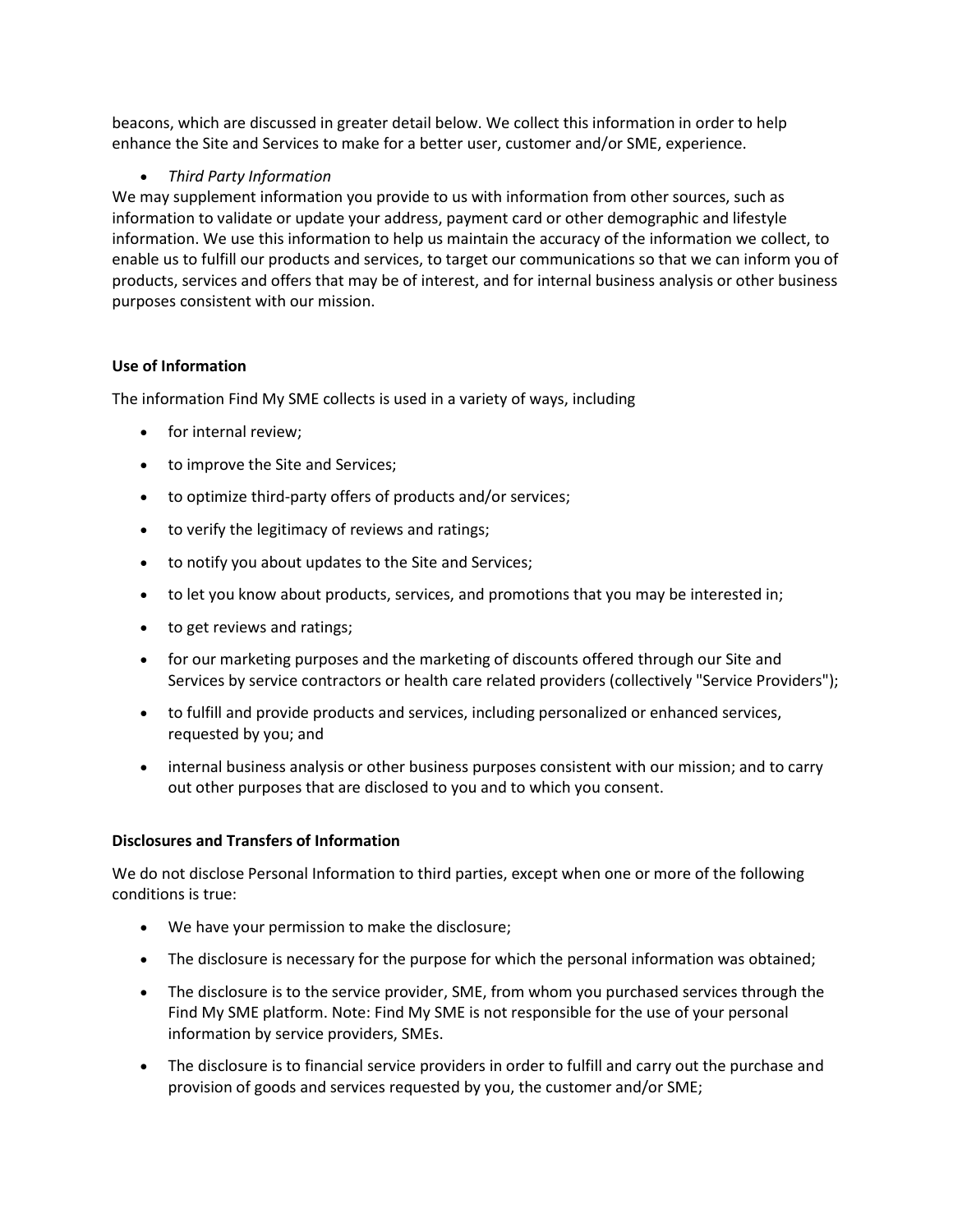beacons, which are discussed in greater detail below. We collect this information in order to help enhance the Site and Services to make for a better user, customer and/or SME, experience.

# • *Third Party Information*

We may supplement information you provide to us with information from other sources, such as information to validate or update your address, payment card or other demographic and lifestyle information. We use this information to help us maintain the accuracy of the information we collect, to enable us to fulfill our products and services, to target our communications so that we can inform you of products, services and offers that may be of interest, and for internal business analysis or other business purposes consistent with our mission.

# **Use of Information**

The information Find My SME collects is used in a variety of ways, including

- for internal review;
- to improve the Site and Services;
- to optimize third-party offers of products and/or services;
- to verify the legitimacy of reviews and ratings;
- to notify you about updates to the Site and Services;
- to let you know about products, services, and promotions that you may be interested in;
- to get reviews and ratings;
- for our marketing purposes and the marketing of discounts offered through our Site and Services by service contractors or health care related providers (collectively "Service Providers");
- to fulfill and provide products and services, including personalized or enhanced services, requested by you; and
- internal business analysis or other business purposes consistent with our mission; and to carry out other purposes that are disclosed to you and to which you consent.

# **Disclosures and Transfers of Information**

We do not disclose Personal Information to third parties, except when one or more of the following conditions is true:

- We have your permission to make the disclosure;
- The disclosure is necessary for the purpose for which the personal information was obtained;
- The disclosure is to the service provider, SME, from whom you purchased services through the Find My SME platform. Note: Find My SME is not responsible for the use of your personal information by service providers, SMEs.
- The disclosure is to financial service providers in order to fulfill and carry out the purchase and provision of goods and services requested by you, the customer and/or SME;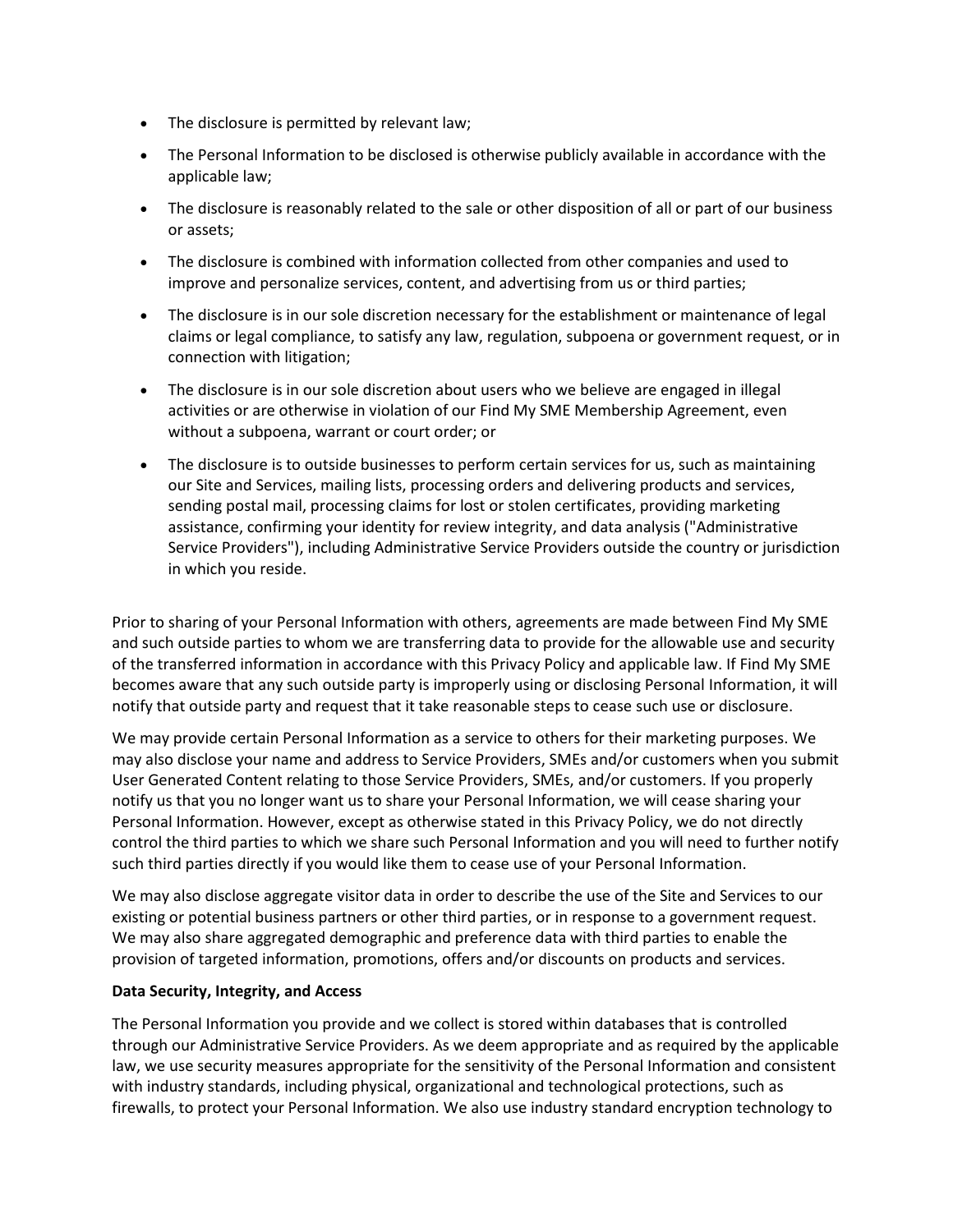- The disclosure is permitted by relevant law;
- The Personal Information to be disclosed is otherwise publicly available in accordance with the applicable law;
- The disclosure is reasonably related to the sale or other disposition of all or part of our business or assets;
- The disclosure is combined with information collected from other companies and used to improve and personalize services, content, and advertising from us or third parties;
- The disclosure is in our sole discretion necessary for the establishment or maintenance of legal claims or legal compliance, to satisfy any law, regulation, subpoena or government request, or in connection with litigation;
- The disclosure is in our sole discretion about users who we believe are engaged in illegal activities or are otherwise in violation of our Find My SME Membership Agreement, even without a subpoena, warrant or court order; or
- The disclosure is to outside businesses to perform certain services for us, such as maintaining our Site and Services, mailing lists, processing orders and delivering products and services, sending postal mail, processing claims for lost or stolen certificates, providing marketing assistance, confirming your identity for review integrity, and data analysis ("Administrative Service Providers"), including Administrative Service Providers outside the country or jurisdiction in which you reside.

Prior to sharing of your Personal Information with others, agreements are made between Find My SME and such outside parties to whom we are transferring data to provide for the allowable use and security of the transferred information in accordance with this Privacy Policy and applicable law. If Find My SME becomes aware that any such outside party is improperly using or disclosing Personal Information, it will notify that outside party and request that it take reasonable steps to cease such use or disclosure.

We may provide certain Personal Information as a service to others for their marketing purposes. We may also disclose your name and address to Service Providers, SMEs and/or customers when you submit User Generated Content relating to those Service Providers, SMEs, and/or customers. If you properly notify us that you no longer want us to share your Personal Information, we will cease sharing your Personal Information. However, except as otherwise stated in this Privacy Policy, we do not directly control the third parties to which we share such Personal Information and you will need to further notify such third parties directly if you would like them to cease use of your Personal Information.

We may also disclose aggregate visitor data in order to describe the use of the Site and Services to our existing or potential business partners or other third parties, or in response to a government request. We may also share aggregated demographic and preference data with third parties to enable the provision of targeted information, promotions, offers and/or discounts on products and services.

## **Data Security, Integrity, and Access**

The Personal Information you provide and we collect is stored within databases that is controlled through our Administrative Service Providers. As we deem appropriate and as required by the applicable law, we use security measures appropriate for the sensitivity of the Personal Information and consistent with industry standards, including physical, organizational and technological protections, such as firewalls, to protect your Personal Information. We also use industry standard encryption technology to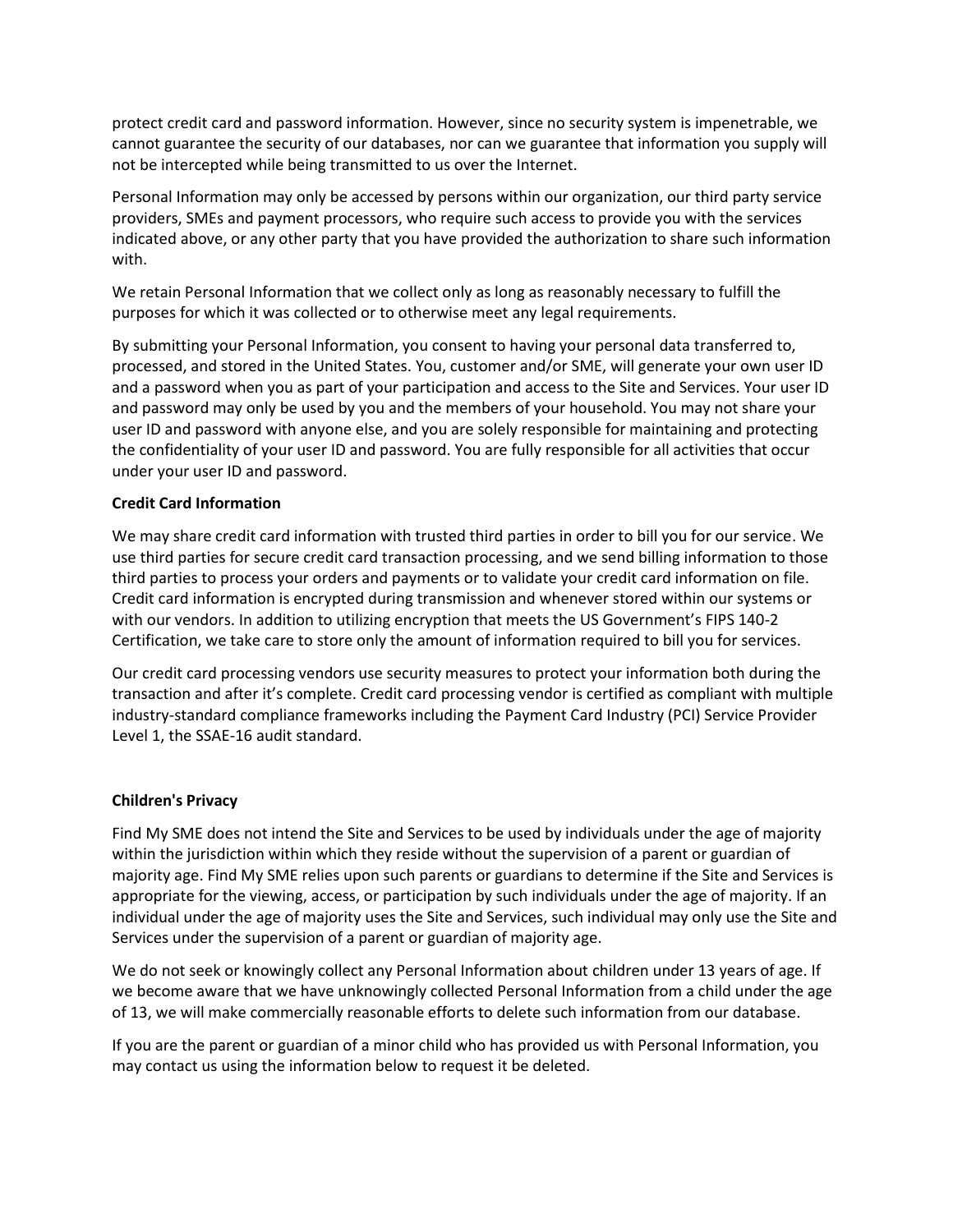protect credit card and password information. However, since no security system is impenetrable, we cannot guarantee the security of our databases, nor can we guarantee that information you supply will not be intercepted while being transmitted to us over the Internet.

Personal Information may only be accessed by persons within our organization, our third party service providers, SMEs and payment processors, who require such access to provide you with the services indicated above, or any other party that you have provided the authorization to share such information with.

We retain Personal Information that we collect only as long as reasonably necessary to fulfill the purposes for which it was collected or to otherwise meet any legal requirements.

By submitting your Personal Information, you consent to having your personal data transferred to, processed, and stored in the United States. You, customer and/or SME, will generate your own user ID and a password when you as part of your participation and access to the Site and Services. Your user ID and password may only be used by you and the members of your household. You may not share your user ID and password with anyone else, and you are solely responsible for maintaining and protecting the confidentiality of your user ID and password. You are fully responsible for all activities that occur under your user ID and password.

### **Credit Card Information**

We may share credit card information with trusted third parties in order to bill you for our service. We use third parties for secure credit card transaction processing, and we send billing information to those third parties to process your orders and payments or to validate your credit card information on file. Credit card information is encrypted during transmission and whenever stored within our systems or with our vendors. In addition to utilizing encryption that meets the US Government's FIPS 140-2 Certification, we take care to store only the amount of information required to bill you for services.

Our credit card processing vendors use security measures to protect your information both during the transaction and after it's complete. Credit card processing vendor is certified as compliant with multiple industry-standard compliance frameworks including the Payment Card Industry (PCI) Service Provider Level 1, the SSAE-16 audit standard.

#### **Children's Privacy**

Find My SME does not intend the Site and Services to be used by individuals under the age of majority within the jurisdiction within which they reside without the supervision of a parent or guardian of majority age. Find My SME relies upon such parents or guardians to determine if the Site and Services is appropriate for the viewing, access, or participation by such individuals under the age of majority. If an individual under the age of majority uses the Site and Services, such individual may only use the Site and Services under the supervision of a parent or guardian of majority age.

We do not seek or knowingly collect any Personal Information about children under 13 years of age. If we become aware that we have unknowingly collected Personal Information from a child under the age of 13, we will make commercially reasonable efforts to delete such information from our database.

If you are the parent or guardian of a minor child who has provided us with Personal Information, you may contact us using the information below to request it be deleted.